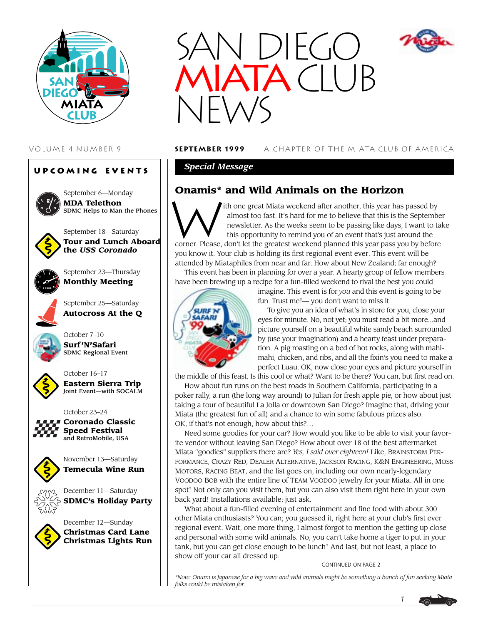

# **Upcoming Events**



September 6—Monday **MDA Telethon** SDMC Helps to Man the Phones



September 18—Saturday **Tour and Lunch Aboard the** *USS Coronado*



September 23—Thursday **Monthly Meeting**

September 25—Saturday **Autocross At the Q**



October 7–10 **Surf 'N'Safari** SDMC Regional Event



October 16–17 **Eastern Sierra Trip** Joint Event—with SOCALM



**Coronado Classic Speed Festival** and RetroMobile, USA



November 13—Saturday **Temecula Wine Run**



December 12—Sunday **Christmas Card Lane Christmas Lights Run**



## VOLUME 4 NUMBER 9 **september 1999** A CHAPTER OF THE MIATA CLUB OF AMERICA

## *Special Message*

**Onamis\* and Wild Animals on the Horizon**<br>
almost too fast. It's hard for me to believe that this is the<br>
newsletter. As the weeks seem to be passing like days,<br>
this opportunity to remind you of an event that's just an ith one great Miata weekend after another, this year has passed by almost too fast. It's hard for me to believe that this is the September newsletter. As the weeks seem to be passing like days, I want to take this opportunity to remind you of an event that's just around the

corner. Please, don't let the greatest weekend planned this year pass you by before you know it. Your club is holding its first regional event ever. This event will be attended by Miataphiles from near and far. How about New Zealand; far enough? This event has been in planning for over a year. A hearty group of fellow members

have been brewing up a recipe for a fun-filled weekend to rival the best you could



imagine. This event is for *you* and this event is going to be fun. Trust me!— you don't want to miss it.

To give you an idea of what's in store for you, close your eyes for minute. No, not yet; you must read a bit more...and picture yourself on a beautiful white sandy beach surrounded by (use your imagination) and a hearty feast under preparation. A pig roasting on a bed of hot rocks, along with mahimahi, chicken, and ribs, and all the fixin's you need to make a perfect Luau. OK, now close your eyes and picture yourself in

the middle of this feast. Is this cool or what? Want to be there? You can, but first read on.

How about fun runs on the best roads in Southern California, participating in a poker rally, a run (the long way around) to Julian for fresh apple pie, or how about just taking a tour of beautiful La Jolla or downtown San Diego? Imagine that, driving your Miata (the greatest fun of all) and a chance to win some fabulous prizes also. OK, if that's not enough, how about this?…

Need some goodies for your car? How would you like to be able to visit your favorite vendor without leaving San Diego? How about over 18 of the best aftermarket Miata "goodies" suppliers there are? *Yes, I said over eighteen!* Like, BRAINSTORM PER-FORMANCE, CRAZY RED, DEALER ALTERNATIVE, JACKSON RACING, K&N ENGINEERING, MOSS MOTORS, RACING BEAT, and the list goes on, including our own nearly-legendary VOODOO BOB with the entire line of TEAM VOODOO jewelry for your Miata. All in one spot! Not only can you visit them, but you can also visit them right here in your own back yard! Installations available; just ask.

What about a fun-filled evening of entertainment and fine food with about 300 other Miata enthusiasts? You can; you guessed it, right here at your club's first ever regional event. Wait, one more thing, I almost forgot to mention the getting up close and personal with some wild animals. No, you can't take home a tiger to put in your tank, but you can get close enough to be lunch! And last, but not least, a place to show off your car all dressed up.

### CONTINUED ON PAGE 2

*\*Note: Onami is Japanese for a big wave and wild animals might be something a bunch of fun seeking Miata folks could be mistaken for*.



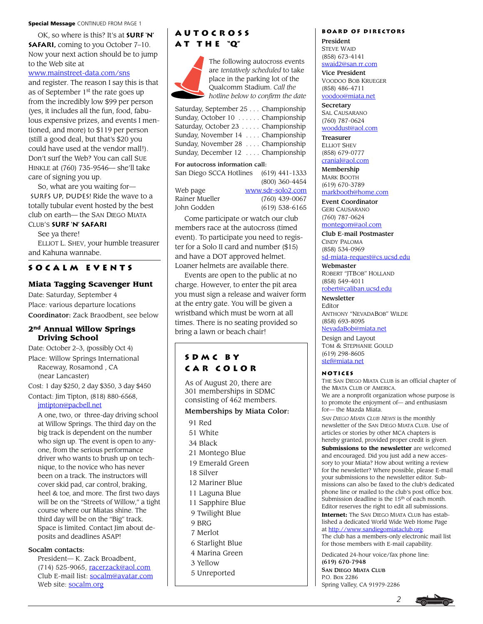#### **Special Message CONTINUED FROM PAGE 1**

OK, so where is this? It's at **Surf 'N' SAFARI, coming to you October 7-10.** Now your next action should be to jump to the Web site at

### [www.mainstreet-data.com/sns](http://www.mainstreet-data.com/sns)

and register. The reason I say this is that as of September 1<sup>st</sup> the rate goes up from the incredibly low \$99 per person (yes, it includes all the fun, food, fabulous expensive prizes, and events I mentioned, and more) to \$119 per person (still a good deal, but that's \$20 you could have used at the vendor mall!). Don't surf the Web? You can call SUE HINKLE at (760) 735-9546— she'll take care of signing you up.

So, what are you waiting for— SURFS UP, DUDES! Ride the wave to a totally tubular event hosted by the best club on earth— the SAN DIEGO MIATA

## CLUB'S **Surf 'N' Safari**

See ya there!

ELLIOT L. SHEV, your humble treasurer and Kahuna wannabe.

### **Socalm events**

### **Miata Tagging Scavenger Hunt**

Date: Saturday, September 4 Place: various departure locations Coordinator: Zack Braodbent, see below

### **2nd Annual Willow Springs Driving School**

Date: October 2–3, (possibly Oct 4) Place: Willow Springs International Raceway, Rosamond , CA (near Lancaster)

Cost: 1 day \$250, 2 day \$350, 3 day \$450

Contact: Jim Tipton, (818) 880-6568, [jmtipton@pacbell.net](mailto:jmtipton@pacbell.net)

A one, two, or three-day driving school at Willow Springs. The third day on the big track is dependent on the number who sign up. The event is open to anyone, from the serious performance driver who wants to brush up on technique, to the novice who has never been on a track. The instructors will cover skid pad, car control, braking, heel & toe, and more. The first two days will be on the "Streets of Willow," a tight course where our Miatas shine. The third day will be on the "Big" track. Space is limited. Contact Jim about deposits and deadlines ASAP!

### Socalm contacts:

President— K. Zack Broadbent, (714) 525-9065, [racerzack@aol.com](mailto:racerzack@aol.com) Club E-mail list: [socalm@avatar.com](mailto:socalm@avatar.com) Web site: [socalm.org](http://www.socalm.org)

# **Autocross a t t h e "Q"**



The following autocross events are *tentatively scheduled* to take place in the parking lot of the Qualcomm Stadium. *Call the hotline below to confirm the date*

#### For autocross information call:

San Diego SCCA Hotlines (619) 441-1333 (800) 360-4454 Web page [www.sdr-solo2.com](http://www.sdr-solo2.com)

| web page       |  |
|----------------|--|
| Rainer Mueller |  |
| John Godden    |  |

(760) 439-0067  $(619)$  538-6165

Come participate or watch our club members race at the autocross (timed event). To participate you need to register for a Solo II card and number (\$15) and have a DOT approved helmet. Loaner helmets are available there.

Events are open to the public at no charge. However, to enter the pit area you must sign a release and waiver form at the entry gate. You will be given a wristband which must be worn at all times. There is no seating provided so bring a lawn or beach chair!

# **SDMC by car color**

As of August 20, there are 301 memberships in SDMC consisting of 462 members.

### Memberships by Miata Color:

- 91 Red
- 51 White
- 34 Black
- 21 Montego Blue
- 19 Emerald Green
- 18 Silver
- 12 Mariner Blue
- 11 Laguna Blue
- 11 Sapphire Blue
- 9 Twilight Blue
- 9 BRG
- 7 Merlot
- 6 Starlight Blue
- 4 Marina Green
- 3 Yellow
- 5 Unreported

### **Board of Directors**

President STEVE WAID (858) 673-4141 [swaid2@san.rr.com](mailto:swaid2@san.rr.com)

Vice President VOODOO BOB KRUEGER (858) 486-4711

[voodoo@miata.net](mailto:voodoo@miata.net) **Secretary** 

SAL CAUSARANO (760) 787-0624 [wooddust@aol.com](mailto:wooddust@aol.com)

Treasurer ELLIOT SHEV (858) 679-0777 [cranial@aol.com](mailto:cranial@aol.com)

Membership MARK BOOTH (619) 670-3789 [markbooth@home.com](mailto:markbooth@home.com)

Event Coordinator GERI CAUSARANO (760) 787-0624 [montegom@aol.com](mailto:montegom@aol.com)

Club E-mail Postmaster CINDY PALOMA (858) 534-0969

[sd-miata-request@cs.ucsd.edu](mailto:sd-miata-request@cs.ucsd.edu)

Webmaster ROBERT "JTBOB" HOLLAND (858) 549-4011

[robert@caliban.ucsd.edu](mailto:robert@caliban.ucsd.edu)

**Newsletter** Editor ANTHONY "NEVADABOB" WILDE (858) 693-8095

[NevadaBob@miata.net](mailto:NevadaBob@miata.net)

Design and Layout TOM & STEPHANIE GOULD (619) 298-8605 [stef@miata.net](mailto:stef@miata.net)

#### **Notices**

THE SAN DIEGO MIATA CLUB is an official chapter of the MIATA CLUB OF AMERICA.

We are a nonprofit organization whose purpose is to promote the enjoyment of— and enthusiasm for— the Mazda Miata.

*SAN DIEGO MIATA CLUB NEWS* is the monthly newsletter of the SAN DIEGO MIATA CLUB. Use of articles or stories by other MCA chapters is hereby granted, provided proper credit is given.

**Submissions to the newsletter** are welcomed and encouraged. Did you just add a new accessory to your Miata? How about writing a review for the newsletter? Where possible, please E-mail your submissions to the newsletter editor. Submissions can also be faxed to the club's dedicated phone line or mailed to the club's post office box. Submission deadline is the 15th of each month. Editor reserves the right to edit all submissions.

**Internet:** The SAN DIEGO MIATA CLUB has established a dedicated World Wide Web Home Page at [http://www.sandiegomiataclub.org.](http://www.sandiegomiataclub.org) The club has a members-only electronic mail list

for those members with E-mail capability.

*2*

Dedicated 24-hour voice/fax phone line: (619) 670-7948 SAN DIEGO MIATA CLUB

P.O. Box 2286 Spring Valley, CA 91979-2286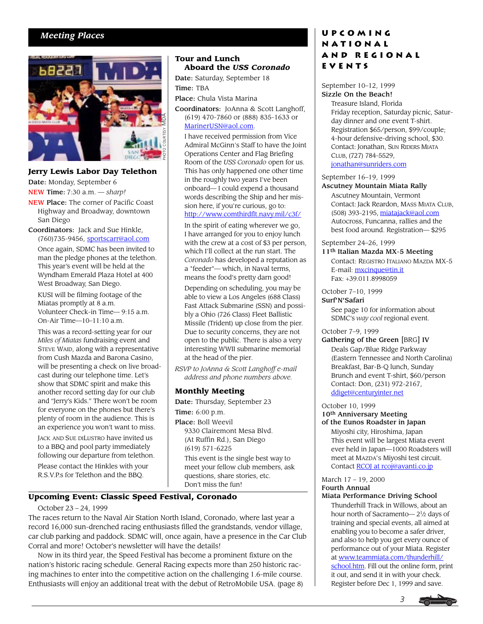# *Meeting Places*



### **Jerry Lewis Labor Day Telethon** Date: Monday, September 6

NEW Time: 7:30 a.m. — *sharp!*

- NEW Place: The corner of Pacific Coast Highway and Broadway, downtown San Diego
- Coordinators: Jack and Sue Hinkle, (760)735-9456, [sportscarr@aol.com](mailto:sportscarr@aol.com) Once again, SDMC has been invited to man the pledge phones at the telethon. This year's event will be held at the Wyndham Emerald Plaza Hotel at 400 West Broadway, San Diego.

KUSI will be filming footage of the Miatas promptly at 8 a.m. Volunteer Check-in Time— 9:15 a.m. On-Air Time—10–11:10 a.m.

This was a record-setting year for our *Miles of Miatas* fundraising event and STEVE WAID, along with a representative from Cush Mazda and Barona Casino, will be presenting a check on live broadcast during our telephone time. Let's show that SDMC spirit and make this another record setting day for our club and "Jerry's Kids." There won't be room for everyone on the phones but there's plenty of room in the audience. This is an experience you won't want to miss.

JACK AND SUE DILUSTRO have invited us to a BBQ and pool party immediately following our departure from telethon. Please contact the Hinkles with your

R.S.V.P.s for Telethon and the BBQ.

## **Tour and Lunch Aboard the** *USS Coronado*

Date: Saturday, September 18 Time: TBA

Place: Chula Vista Marina

Coordinators: JoAnna & Scott Langhoff, (619) 470-7860 or (888) 835-1633 or [MarinerUSN@aol.com.](mailto:MarinerUSN@aol.com)

I have received permission from Vice Admiral McGinn's Staff to have the Joint Operations Center and Flag Briefing Room of the *USS Coronado* open for us. This has only happened one other time in the roughly two years I've been onboard— I could expend a thousand words describing the Ship and her mission here, if you're curious, go to: <http://www.comthirdflt.navy.mil/c3f/>

In the spirit of eating wherever we go, I have arranged for you to enjoy lunch with the crew at a cost of \$3 per person, which I'll collect at the run start. The *Coronado* has developed a reputation as a "feeder"— which, in Naval terms, means the food's pretty darn good!

Depending on scheduling, you may be able to view a Los Angeles (688 Class) Fast Attack Submarine (SSN) and possibly a Ohio (726 Class) Fleet Ballistic Missile (Trident) up close from the pier. Due to security concerns, they are not open to the public. There is also a very interesting WWII submarine memorial at the head of the pier.

*RSVP to JoAnna & Scott Langhoff e-mail address and phone numbers above.*

## **Monthly Meeting**

Date: Thursday, September 23 Time: 6:00 p.m. Place: Boll Weevil 9330 Clairemont Mesa Blvd. (At Ruffin Rd.), San Diego (619) 571-6225 This event is the single best way to meet your fellow club members, ask questions, share stories, etc. Don't miss the fun!

## **Upcoming Event: Classic Speed Festival, Coronado**

### October 23 – 24, 1999

The races return to the Naval Air Station North Island, Coronado, where last year a record 16,000 sun-drenched racing enthusiasts filled the grandstands, vendor village, car club parking and paddock. SDMC will, once again, have a presence in the Car Club Corral and more! October's newsletter will have the details!

Now in its third year, the Speed Festival has become a prominent fixture on the nation's historic racing schedule. General Racing expects more than 250 historic racing machines to enter into the competitive action on the challenging 1.6-mile course. Enthusiasts will enjoy an additional treat with the debut of RetroMobile USA. (page 8)

# **Upcoming National and Regional Events**

### September 10–12, 1999 Sizzle On the Beach!

Treasure Island, Florida Friday reception, Saturday picnic, Saturday dinner and one event T-shirt. Registration \$65/person, \$99/couple; 4-hour defensive-driving school, \$30. Contact: Jonathan, SUN RIDERS MIATA CLUB, (727) 784-5529, [jonathan@sunriders.com](mailto:jonathan@sunriders.com)

### September 16–19, 1999

### Ascutney Mountain Miata Rally

Ascutney Mountain, Vermont Contact: Jack Reardon, MASS MIATA CLUB, (508) 393-2195[, miatajack@aol.com](mailto:miatajack@aol.com) Autocross, Funcanna, rallies and the best food around. Registration— \$295

September 24–26, 1999

11<sup>th</sup> Italian Mazda MX-5 Meeting

Contact: REGISTRO ITALIANO MAZDA MX-5 E-mail: [mxcinque@tin.it](mailto:mxcinque@tin.it) Fax: +39.011.8998059

### October 7–10, 1999

Surf'N'Safari

See page 10 for information about SDMC's *way cool* regional event.

### October 7–9, 1999

Gathering of the Green [BRG] IV

Deals Gap/Blue Ridge Parkway (Eastern Tennessee and North Carolina) Breakfast, Bar-B-Q lunch, Sunday Brunch and event T-shirt, \$60/person Contact: Don, (231) 972-2167, [ddiget@centuryinter.net](mailto:ddiget@centuryinter.net)

October 10, 1999

# 10th Anniversary Meeting

of the Eunos Roadster in Japan Miyoshi city, Hiroshima, Japan This event will be largest Miata event ever held in Japan—1000 Roadsters will meet at MAZDA'S Miyoshi test circuit. Contact RCOJ at [rcoj@avanti.co.jp](mailto:rcoj@avanti.co.jp)

# March 17 – 19, 2000 Fourth Annual

Miata Performance Driving School

Thunderhill Track in Willows, about an hour north of Sacramento— $2^{1}/2$  days of training and special events, all aimed at enabling you to become a safer driver, and also to help you get every ounce of performance out of your Miata. Register at [www.teammiata.com/thunderhill/](http://www.teammiata.com/thunderhill/school.htm) [school.htm.](http://www.teammiata.com/thunderhill/school.htm) Fill out the online form, print it out, and send it in with your check. Register before Dec 1, 1999 and save.

*3*

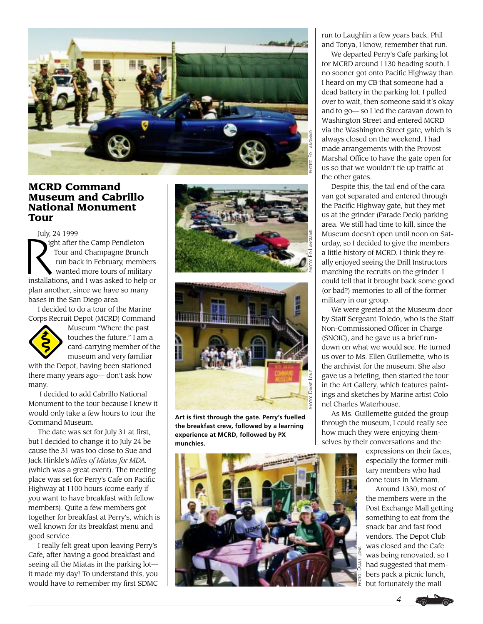

# **MCRD Command Museum and Cabrillo National Monument Tour**

July, 24 1999

July, 2 ight after the Camp Pendleton Tour and Champagne Brunch run back in February, members wanted more tours of military installations, and I was asked to help or plan another, since we have so many bases in the San Diego area.

I decided to do a tour of the Marine Corps Recruit Depot (MCRD) Command



Museum "Where the past touches the future." I am a card-carrying member of the museum and very familiar

with the Depot, having been stationed there many years ago— don't ask how many.

 I decided to add Cabrillo National Monument to the tour because I knew it would only take a few hours to tour the Command Museum.

The date was set for July 31 at first, but I decided to change it to July 24 because the 31 was too close to Sue and Jack Hinkle's *Miles of Miatas for MDA.* (which was a great event). The meeting place was set for Perry's Cafe on Pacific Highway at 1100 hours (come early if you want to have breakfast with fellow members). Quite a few members got together for breakfast at Perry's, which is well known for its breakfast menu and good service.

I really felt great upon leaving Perry's Cafe, after having a good breakfast and seeing all the Miatas in the parking lot it made my day! To understand this, you would have to remember my first SDMC





**Art is first through the gate. Perry's fuelled the breakfast crew, followed by a learning experience at MCRD, followed by PX munchies.**



We departed Perry's Cafe parking lot for MCRD around 1130 heading south. I no sooner got onto Pacific Highway than I heard on my CB that someone had a dead battery in the parking lot. I pulled over to wait, then someone said it's okay and to go— so I led the caravan down to Washington Street and entered MCRD via the Washington Street gate, which is always closed on the weekend. I had made arrangements with the Provost Marshal Office to have the gate open for us so that we wouldn't tie up traffic at the other gates.

Despite this, the tail end of the caravan got separated and entered through the Pacific Highway gate, but they met us at the grinder (Parade Deck) parking area. We still had time to kill, since the Museum doesn't open until noon on Saturday, so I decided to give the members a little history of MCRD. I think they really enjoyed seeing the Drill Instructors marching the recruits on the grinder. I could tell that it brought back some good (or bad?) memories to all of the former military in our group.

We were greeted at the Museum door by Staff Sergeant Toledo, who is the Staff Non-Commissioned Officer in Charge (SNOIC), and he gave us a brief rundown on what we would see. He turned us over to Ms. Ellen Guillemette, who is the archivist for the museum. She also gave us a briefing, then started the tour in the Art Gallery, which features paintings and sketches by Marine artist Colonel Charles Waterhouse.

As Ms. Guillemette guided the group through the museum, I could really see how much they were enjoying themselves by their conversations and the

> expressions on their faces, especially the former military members who had done tours in Vietnam.

Around 1330, most of the members were in the Post Exchange Mall getting something to eat from the snack bar and fast food vendors. The Depot Club was closed and the Cafe was being renovated, so I had suggested that members pack a picnic lunch, but fortunately the mall

*4*

PHOTO: DIANE LONG

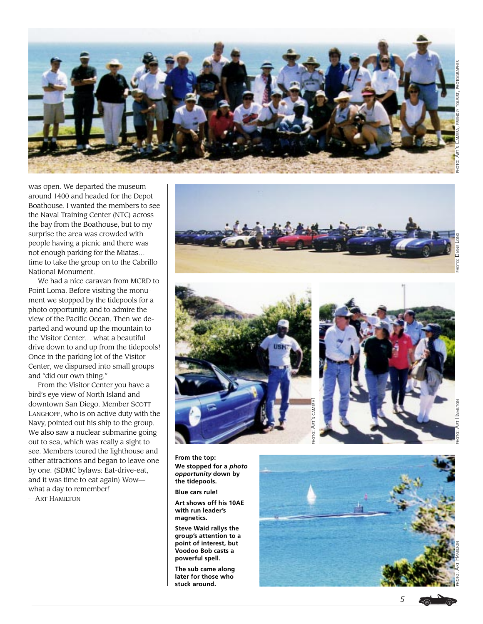

around 1400 and headed for the Depot Boathouse. I wanted the members to see the Naval Training Center (NTC) across the bay from the Boathouse, but to my surprise the area was crowded with people having a picnic and there was not enough parking for the Miatas… time to take the group on to the Cabrillo National Monument.

was open. We departed the museum

We had a nice caravan from MCRD to Point Loma. Before visiting the monument we stopped by the tidepools for a photo opportunity, and to admire the view of the Pacific Ocean. Then we departed and wound up the mountain to the Visitor Center… what a beautiful drive down to and up from the tidepools! Once in the parking lot of the Visitor Center, we dispursed into small groups and "did our own thing."

From the Visitor Center you have a bird's eye view of North Island and downtown San Diego. Member SCOTT LANGHOFF, who is on active duty with the Navy, pointed out his ship to the group. We also saw a nuclear submarine going out to sea, which was really a sight to see. Members toured the lighthouse and other attractions and began to leave one by one. (SDMC bylaws: Eat-drive-eat, and it was time to eat again) Wow what a day to remember! —ART HAMILTON







**From the top: We stopped for a** *photo opportunity* **down by the tidepools.**

**Blue cars rule!**

**Art shows off his 10AE with run leader's magnetics.**

**Steve Waid rallys the group's attention to a point of interest, but Voodoo Bob casts a powerful spell.**

**The sub came along later for those who stuck around.**

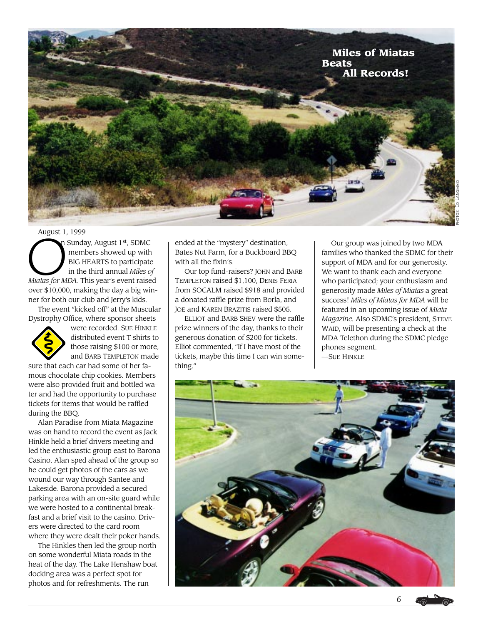

August 1, 1999<br>
m Sunda<br>
mem<br>
BIG H<br>
in the n Sunday, August 1st, SDMC members showed up with BIG HEARTS to participate in the third annual *Miles of Miatas for MDA.* This year's event raised over \$10,000, making the day a big winner for both our club and Jerry's kids.

The event "kicked off" at the Muscular Dystrophy Office, where sponsor sheets



were recorded. SUE HINKLE distributed event T-shirts to those raising \$100 or more, and BARB TEMPLETON made

sure that each car had some of her famous chocolate chip cookies. Members were also provided fruit and bottled water and had the opportunity to purchase tickets for items that would be raffled during the BBQ.

Alan Paradise from Miata Magazine was on hand to record the event as Jack Hinkle held a brief drivers meeting and led the enthusiastic group east to Barona Casino. Alan sped ahead of the group so he could get photos of the cars as we wound our way through Santee and Lakeside. Barona provided a secured parking area with an on-site guard while we were hosted to a continental breakfast and a brief visit to the casino. Drivers were directed to the card room where they were dealt their poker hands.

The Hinkles then led the group north on some wonderful Miata roads in the heat of the day. The Lake Henshaw boat docking area was a perfect spot for photos and for refreshments. The run

ended at the "mystery" destination, Bates Nut Farm, for a Buckboard BBQ with all the fixin's.

Our top fund-raisers? JOHN and BARB TEMPLETON raised \$1,100, DENIS FERIA from SOCALM raised \$918 and provided a donated raffle prize from Borla, and JOE and KAREN BRAZITIS raised \$505.

ELLIOT and BARB SHEV were the raffle prize winners of the day, thanks to their generous donation of \$200 for tickets. Elliot commented, "If I have most of the tickets, maybe this time I can win something."

Our group was joined by two MDA families who thanked the SDMC for their support of MDA and for our generosity. We want to thank each and everyone who participated; your enthusiasm and generosity made *Miles of Miatas* a great success! *Miles of Miatas for MDA* will be featured in an upcoming issue of *Miata Magazine.* Also SDMC's president, STEVE WAID, will be presenting a check at the MDA Telethon during the SDMC pledge phones segment. —SUE HINKLE



*6*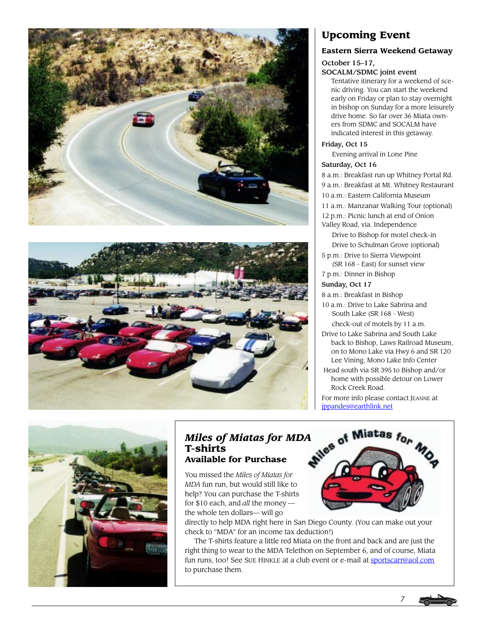



# **Upcoming Event**

### **Eastern Sierra Weekend Getaway**

### October 15–17,

### SOCALM/SDMC joint event

Tentative itinerary for a weekend of scenic driving. You can start the weekend early on Friday or plan to stay overnight in bishop on Sunday for a more leisurely drive home. So far over 36 Miata owners from SDMC and SOCALM have indicated interest in this getaway.

### Friday, Oct 15

# Evening arrival in Lone Pine

### Saturday, Oct 16

8 a.m.: Breakfast run up Whitney Portal Rd.

- 9 a.m.: Breakfast at Mt. Whitney Restaurant
- 10 a.m.: Eastern California Museum
- 11 a.m.: Manzanar Walking Tour (optional)
- 12 p.m.: Picnic lunch at end of Onion

Valley Road, via. Independence Drive to Bishop for motel check-in

Drive to Schulman Grove (optional)

5 p.m.: Drive to Sierra Viewpoint

(SR 168 - East) for sunset view 7 p.m.: Dinner in Bishop

# Sunday, Oct 17

8 a.m.: Breakfast in Bishop

- 10 a.m.: Drive to Lake Sabrina and South Lake (SR 168 - West) check-out of motels by 11 a.m.
- Drive to Lake Sabrina and South Lake
- back to Bishop, Laws Railroad Museum, on to Mono Lake via Hwy 6 and SR 120 Lee Vining, Mono Lake Info Center
- Head south via SR 395 to Bishop and/or home with possible detour on Lower Rock Creek Road.

For more info please contact JEANNE at [jppandes@earthlink.net](mailto:jppandes@earthlink.net)



# *Miles of Miatas for MDA* of Miatas for  $M_0$ <br>T-shirts Available for Purchase **T-shirts Available for Purchase**

You missed the *Miles of Miatas for MDA* fun run, but would still like to help? You can purchase the T-shirts for \$10 each, and *all* the money the whole ten dollars— will go

directly to help MDA right here in San Diego County. (You can make out your check to "MDA" for an income tax deduction!)

The T-shirts feature a little red Miata on the front and back and are just the right thing to wear to the MDA Telethon on September 6, and of course, Miata fun runs, too! See SUE HINKLE at a club event or e-mail at [sportscarr@aol.com](mailto:sportscarr@aol.com) to purchase them.

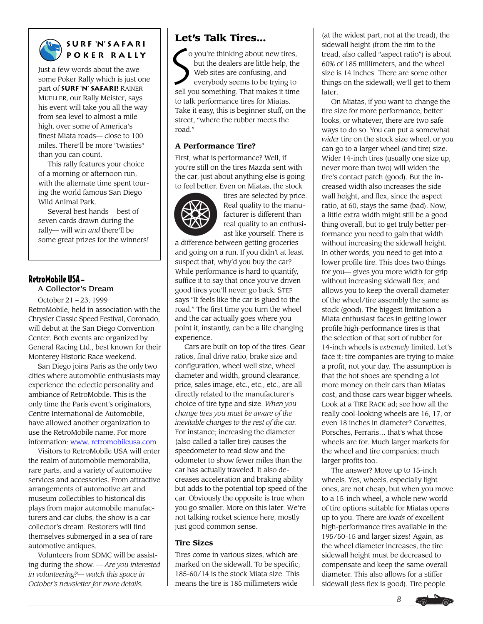

# **S u r f 'N' S a f a r i Poker rally**

Just a few words about the awesome Poker Rally which is just one part of **Surf 'N' Safari!** RAINER MUELLER, our Rally Meister, says his event will take you all the way from sea level to almost a mile high, over some of America's finest Miata roads— close to 100 miles. There'll be more "twisties" than you can count.

This rally features your choice of a morning or afternoon run, with the alternate time spent touring the world famous San Diego Wild Animal Park.

Several best hands— best of seven cards drawn during the rally— will win *and* there'll be some great prizes for the winners!

### RetroMobile USA — A Collector's Dream

October 21 – 23, 1999 RetroMobile, held in association with the Chrysler Classic Speed Festival, Coronado, will debut at the San Diego Convention Center. Both events are organized by General Racing Ltd., best known for their Monterey Historic Race weekend.

San Diego joins Paris as the only two cities where automobile enthusiasts may experience the eclectic personality and ambiance of RetroMobile. This is the only time the Paris event's originators, Centre International de Automobile, have allowed another organization to use the RetroMobile name. For more information: [www. retromobileusa.com](http://www.retromobileusa.com)

Visitors to RetroMobile USA will enter the realm of automobile memorabilia, rare parts, and a variety of automotive services and accessories. From attractive arrangements of automotive art and museum collectibles to historical displays from major automobile manufacturers and car clubs, the show is a car collector's dream. Restorers will find themselves submerged in a sea of rare automotive antiques.

Volunteers from SDMC will be assisting during the show. — *Are you interested in volunteering?— watch this space in October's newsletter for more details.*

# **Let's Talk Tires…**

Let  $\left(\int_0^{\infty}$  o you're thinking about new tires, but the dealers are little help, the Web sites are confusing, and everybody seems to be trying to sell you something. That makes it time to talk performance tires for Miatas. Take it easy, this is beginner stuff, on the street, "where the rubber meets the road."

## **A Performance Tire?**

First, what is performance? Well, if you're still on the tires Mazda sent with the car, just about anything else is going to feel better. Even on Miatas, the stock



tires are selected by price. Real quality to the manufacturer is different than real quality to an enthusiast like yourself. There is

a difference between getting groceries and going on a run. If you didn't at least suspect that, why'd you buy the car? While performance is hard to quantify, suffice it to say that once you've driven good tires you'll never go back. STEF says "It feels like the car is glued to the road." The first time you turn the wheel and the car actually goes where you point it, instantly, can be a life changing experience.

Cars are built on top of the tires. Gear ratios, final drive ratio, brake size and configuration, wheel well size, wheel diameter and width, ground clearance, price, sales image, etc., etc., etc., are all directly related to the manufacturer's choice of tire type and size. *When you change tires you must be aware of the inevitable changes to the rest of the car.* For instance; increasing the diameter (also called a taller tire) causes the speedometer to read slow and the odometer to show fewer miles than the car has actually traveled. It also decreases acceleration and braking ability but adds to the potential top speed of the car. Obviously the opposite is true when you go smaller. More on this later. We're not talking rocket science here, mostly just good common sense.

## **Tire Sizes**

Tires come in various sizes, which are marked on the sidewall. To be specific; 185-60/14 is the stock Miata size. This means the tire is 185 millimeters wide

(at the widest part, not at the tread), the sidewall height (from the rim to the tread, also called "aspect ratio") is about 60% of 185 millimeters, and the wheel size is 14 inches. There are some other things on the sidewall; we'll get to them later.

On Miatas, if you want to change the tire size for more performance, better looks, or whatever, there are two safe ways to do so. You can put a somewhat *wider* tire on the stock size wheel, or you can go to a larger wheel (and tire) size. Wider 14-inch tires (usually one size up, never more than two) will widen the tire's contact patch (good). But the increased width also increases the side wall height, and flex, since the aspect ratio, at 60, stays the same (bad). Now, a little extra width might still be a good thing overall, but to get truly better performance you need to gain that width without increasing the sidewall height. In other words, you need to get into a lower profile tire. This does two things for you— gives you more width for grip without increasing sidewall flex, and allows you to keep the overall diameter of the wheel/tire assembly the same as stock (good). The biggest limitation a Miata enthusiast faces in getting lower profile high-performance tires is that the selection of that sort of rubber for 14-inch wheels is *extremely* limited. Let's face it; tire companies are trying to make a profit, not your day. The assumption is that the hot shoes are spending a lot more money on their cars than Miatas cost, and those cars wear bigger wheels. Look at a TIRE RACK ad; see how all the really cool-looking wheels are 16, 17, or even 18 inches in diameter? Corvettes, Porsches, Ferraris… that's what those wheels are for. Much larger markets for the wheel and tire companies; much larger profits too.

The answer? Move up to 15-inch wheels. Yes, wheels, especially light ones, are not cheap, but when you move to a 15-inch wheel, a whole new world of tire options suitable for Miatas opens up to you. There are *loads* of excellent high-performance tires available in the 195/50-15 and larger sizes! Again, as the wheel diameter increases, the tire sidewall height must be decreased to compensate and keep the same overall diameter. This also allows for a stiffer sidewall (less flex is good). Tire people

*8*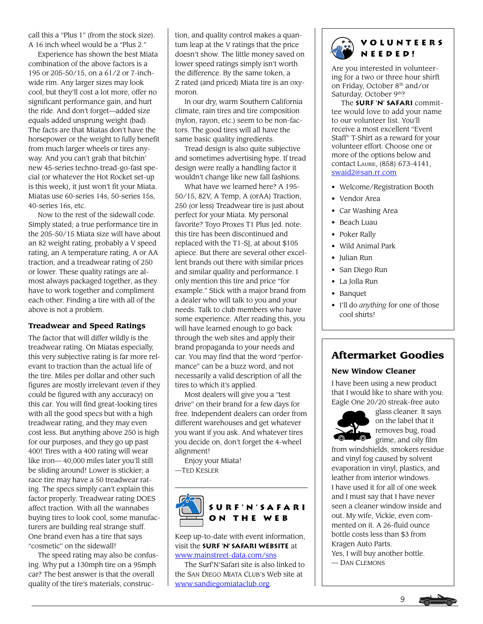call this a "Plus 1" (from the stock size). A 16 inch wheel would be a "Plus 2."

Experience has shown the best Miata combination of the above factors is a 195 or 205-50/15, on a 61/2 or 7-inchwide rim. Any larger sizes may look cool, but they'll cost a lot more, offer no significant performance gain, and hurt the ride. And don't forget—added size equals added unsprung weight (bad). The facts are that Miatas don't have the horsepower or the weight to fully benefit from much larger wheels or tires anyway. And you can't grab that bitchin' new 45-series techno-tread-go-fast special (or whatever the Hot Rocket set-up is this week), it just won't fit your Miata. Miatas use 60-series 14s, 50-series 15s, 40-series 16s, etc.

Now to the rest of the sidewall code. Simply stated; a true performance tire in the 205-50/15 Miata size will have about an 82 weight rating, probably a V speed rating, an A temperature rating, A or AA traction, and a treadwear rating of 250 or lower. These quality ratings are almost always packaged together, as they have to work together and compliment each other. Finding a tire with all of the above is not a problem.

### **Treadwear and Speed Ratings**

The factor that will differ wildly is the treadwear rating. On Miatas especially, this very subjective rating is far more relevant to traction than the actual life of the tire. Miles per dollar and other such figures are mostly irrelevant (even if they could be figured with any accuracy) on this car. You will find great-looking tires with all the good specs but with a high treadwear rating, and they may even cost less. But anything above 250 is high for our purposes, and they go up past 400! Tires with a 400 rating will wear like iron— 40,000 miles later you'll still be sliding around! Lower is stickier; a race tire may have a 50 treadwear rating. The specs simply can't explain this factor properly. Treadwear rating DOES affect traction. With all the wannabes buying tires to look cool, some manufacturers are building real strange stuff. One brand even has a tire that says "cosmetic" on the sidewall!

The speed rating may also be confusing. Why put a 130mph tire on a 95mph car? The best answer is that the overall quality of the tire's materials, construction, and quality control makes a quantum leap at the V ratings that the price doesn't show. The little money saved on lower speed ratings simply isn't worth the difference. By the same token, a Z rated (and priced) Miata tire is an oxymoron.

In our dry, warm Southern California climate, rain tires and tire composition (nylon, rayon, etc.) seem to be non-factors. The good tires will all have the same basic quality ingredients.

Tread design is also quite subjective and sometimes advertising hype. If tread design were really a handling factor it wouldn't change like new fall fashions.

What have we learned here? A 195- 50/15, 82V, A Temp, A (orAA) Traction, 250 (or less) Treadwear tire is just about perfect for your Miata. My personal favorite? Toyo Proxes T1 Plus [ed. note: this tire has been discontinued and replaced with the T1-S], at about \$105 apiece. But there are several other excellent brands out there with similar prices and similar quality and performance. I only mention this tire and price "for example." Stick with a major brand from a dealer who will talk to you and your needs. Talk to club members who have some experience. After reading this, you will have learned enough to go back through the web sites and apply their brand propaganda to your needs and car. You may find that the word "performance" can be a buzz word, and not necessarily a valid description of all the tires to which it's applied.

Most dealers will give you a "test drive" on their brand for a few days for free. Independent dealers can order from different warehouses and get whatever you want if you ask. And whatever tires you decide on, don't forget the 4-wheel alignment!

Enjoy your Miata! —TED KESLER



Keep up-to-date with event information, visit the **Surf 'N' Safari website** at [www.mainstreet-data.com/sns](http://www.mainstreet-data.com/sns)

The Surf'N'Safari site is also linked to the SAN DIEGO MIATA CLUB's Web site at [www.sandiegomiataclub.org.](http://www.sandiegomiataclub.org)

# **Volunteers needed!**

Are you interested in volunteering for a two or three hour shirft on Friday, October 8th and/or Saturday, October 9th?

The **Surf 'N' Safari** committee would love to add your name to our volunteer list. You'll receive a most excellent "Event Staff" T-Shirt as a reward for your volunteer effort. Choose one or more of the options below and contact LAURIE, (858) 673-4141, [swaid2@san.rr.com](mailto:swaid2@san.rr.com)

- Welcome/Registration Booth
- Vendor Area
- Car Washing Area
- Beach Luau
- Poker Rally
- Wild Animal Park
- Julian Run
- San Diego Run
- La Jolla Run
- Banquet
- I'll do *anything* for one of those cool shirts!

# **Aftermarket Goodies**

### **New Window Cleaner**

I have been using a new product that I would like to share with you: Eagle One 20/20 streak-free auto



glass cleaner. It says on the label that it removes bug, road grime, and oily film

from windshields, smokers residue and vinyl fog caused by solvent evaporation in vinyl, plastics, and leather from interior windows. I have used it for all of one week and I must say that I have never seen a cleaner window inside and out. My wife, Vickie, even commented on it. A 26-fluid ounce bottle costs less than \$3 from Kragen Auto Parts. Yes, I will buy another bottle. — DAN CLEMONS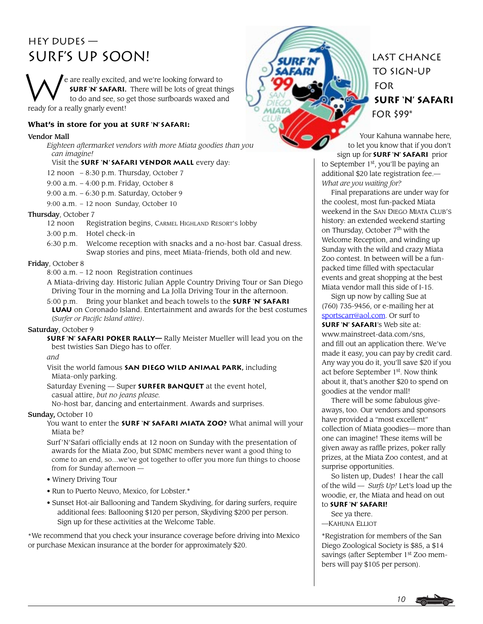# HEY DUDES — Surf's Up soon!

W e are really excited, and we're looking forward to **SURF 'N' SAFARI.** There will be lots of great things to do and see, so get those surfboards waxed and ready for a really gnarly event!

### **What's in store for you at Surf 'N' Safari:**

### Vendor Mall

*Eighteen aftermarket vendors with more Miata goodies than you can imagine!*

### Visit the **Surf 'N' Safari vendor mall** every day:

12 noon – 8:30 p.m. Thursday, October 7

- 9:00 a.m. 4:00 p.m. Friday, October 8
- 9:00 a.m. 6:30 p.m. Saturday, October 9
- 9:00 a.m. 12 noon Sunday, October 10

# Thursday, October 7<br>12 noon Re

- Registration begins, CARMEL HIGHLAND RESORT'S lobby
- 3:00 p.m. Hotel check-in
- 6:30 p.m. Welcome reception with snacks and a no-host bar. Casual dress. Swap stories and pins, meet Miata-friends, both old and new.

### Friday, October 8

8:00 a.m. – 12 noon Registration continues

A Miata-driving day. Historic Julian Apple Country Driving Tour or San Diego Driving Tour in the morning and La Jolla Driving Tour in the afternoon.

5:00 p.m. Bring your blanket and beach towels to the **Surf 'N' Safari Luau** on Coronado Island. Entertainment and awards for the best costumes (*Surfer or Pacific Island attire)*.

### Saturday, October 9

**Surf 'N' Safari Poker Rally—** Rally Meister Mueller will lead you on the best twisties San Diego has to offer.

*and*

Visit the world famous **San Diego Wild Animal Park,** including Miata-only parking.

Saturday Evening — Super **Surfer Banquet** at the event hotel, casual attire, *but no jeans please.*

No-host bar, dancing and entertainment. Awards and surprises.

### Sunday, October 10

You want to enter the **SURF 'N' SAFARI MIATA ZOO?** What animal will your Miata be?

Surf'N'Safari officially ends at 12 noon on Sunday with the presentation of awards for the Miata Zoo, but SDMC members never want a good thing to come to an end, so…we've got together to offer you more fun things to choose from for Sunday afternoon —

- Winery Driving Tour
- Run to Puerto Neuvo, Mexico, for Lobster.\*
- Sunset Hot-air Ballooning and Tandem Skydiving, for daring surfers, require additional fees: Ballooning \$120 per person, Skydiving \$200 per person. Sign up for these activities at the Welcome Table.

\*We recommend that you check your insurance coverage before driving into Mexico or purchase Mexican insurance at the border for approximately \$20.



**SURF 'N' SaFARI** FOR \$99\*

Your Kahuna wannabe here, to let you know that if you don't sign up for **Surf 'N' Safari** prior

to September 1<sup>st</sup>, you'll be paying an additional \$20 late registration fee.— *What are you waiting for?*

Final preparations are under way for the coolest, most fun-packed Miata weekend in the SAN DIEGO MIATA CLUB'S history: an extended weekend starting on Thursday, October 7<sup>th</sup> with the Welcome Reception, and winding up Sunday with the wild and crazy Miata Zoo contest. In between will be a funpacked time filled with spectacular events and great shopping at the best Miata vendor mall this side of I-15.

Sign up now by calling Sue at (760) 735-9456, or e-mailing her at [sportscarr@aol.com.](mailto:sportscarr@aol.com) Or surf to **Surf 'N' Safari**'s Web site at: www.mainstreet-data.com/sns, and fill out an application there. We've made it easy, you can pay by credit card. Any way you do it, you'll save \$20 if you act before September 1st. Now think about it, that's another \$20 to spend on goodies at the vendor mall!

There will be some fabulous giveaways, too. Our vendors and sponsors have provided a "most excellent" collection of Miata goodies— more than one can imagine! These items will be given away as raffle prizes, poker rally prizes, at the Miata Zoo contest, and at surprise opportunities.

So listen up, Dudes! I hear the call of the wild — *Surfs Up!* Let's load up the woodie, er, the Miata and head on out to **Surf 'N' Safari!**

See ya there.

—KAHUNA ELLIOT

\*Registration for members of the San Diego Zoological Society is \$85, a \$14 savings (after September 1<sup>st</sup> Zoo members will pay \$105 per person).